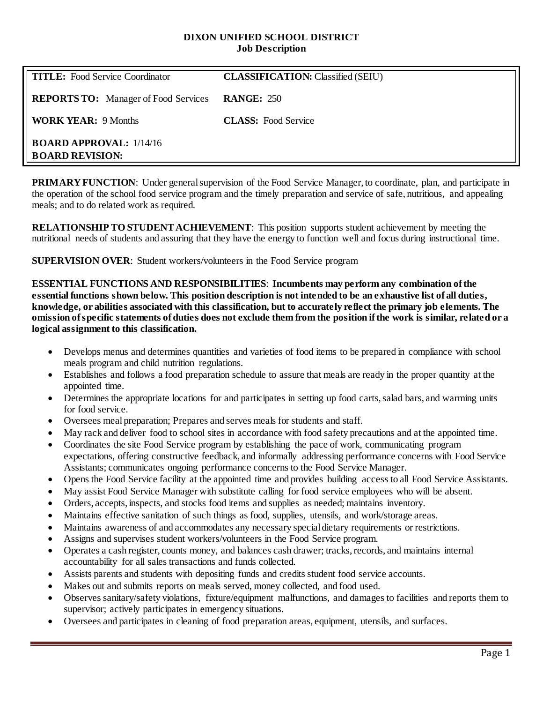### **DIXON UNIFIED SCHOOL DISTRICT Job Description**

| <b>TITLE:</b> Food Service Coordinator                   | <b>CLASSIFICATION: Classified (SEIU)</b> |
|----------------------------------------------------------|------------------------------------------|
| <b>REPORTS TO:</b> Manager of Food Services              | <b>RANGE: 250</b>                        |
| <b>WORK YEAR: 9 Months</b>                               | <b>CLASS:</b> Food Service               |
| <b>BOARD APPROVAL: 1/14/16</b><br><b>BOARD REVISION:</b> |                                          |

**PRIMARY FUNCTION:** Under general supervision of the Food Service Manager, to coordinate, plan, and participate in the operation of the school food service program and the timely preparation and service of safe, nutritious, and appealing meals; and to do related work as required.

**RELATIONSHIP TO STUDENT ACHIEVEMENT**: This position supports student achievement by meeting the nutritional needs of students and assuring that they have the energy to function well and focus during instructional time.

**SUPERVISION OVER**: Student workers/volunteers in the Food Service program

**ESSENTIAL FUNCTIONS AND RESPONSIBILITIES**: **Incumbents may perform any combination of the essential functions shown below. This position description is not intended to be an exhaustive list of all duties, knowledge, or abilities associated with this classification, but to accurately reflect the primary job elements. The omission of specific statements of duties does not exclude them from the position if the work is similar, related or a logical assignment to this classification.**

- Develops menus and determines quantities and varieties of food items to be prepared in compliance with school meals program and child nutrition regulations.
- Establishes and follows a food preparation schedule to assure that meals are ready in the proper quantity at the appointed time.
- Determines the appropriate locations for and participates in setting up food carts, salad bars, and warming units for food service.
- Oversees meal preparation; Prepares and serves meals for students and staff.
- May rack and deliver food to school sites in accordance with food safety precautions and at the appointed time.
- Coordinates the site Food Service program by establishing the pace of work, communicating program expectations, offering constructive feedback, and informally addressing performance concerns with Food Service Assistants; communicates ongoing performance concerns to the Food Service Manager.
- Opens the Food Service facility at the appointed time and provides building access to all Food Service Assistants.
- May assist Food Service Manager with substitute calling for food service employees who will be absent.
- Orders, accepts, inspects, and stocks food items and supplies as needed; maintains inventory.
- Maintains effective sanitation of such things as food, supplies, utensils, and work/storage areas.
- Maintains awareness of and accommodates any necessary special dietary requirements or restrictions.
- Assigns and supervises student workers/volunteers in the Food Service program.
- Operates a cash register, counts money, and balances cash drawer; tracks, records, and maintains internal accountability for all sales transactions and funds collected.
- Assists parents and students with depositing funds and credits student food service accounts.
- Makes out and submits reports on meals served, money collected, and food used.
- Observes sanitary/safety violations, fixture/equipment malfunctions, and damages to facilities and reports them to supervisor; actively participates in emergency situations.
- Oversees and participates in cleaning of food preparation areas, equipment, utensils, and surfaces.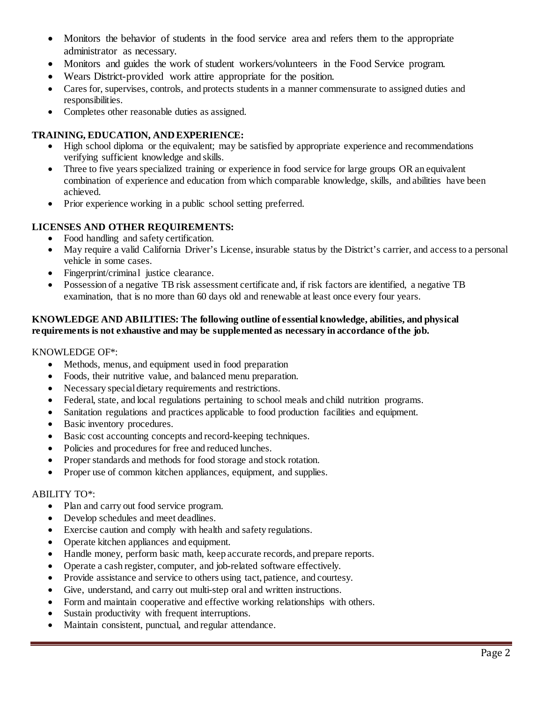- Monitors the behavior of students in the food service area and refers them to the appropriate administrator as necessary.
- Monitors and guides the work of student workers/volunteers in the Food Service program.
- Wears District-provided work attire appropriate for the position.
- Cares for, supervises, controls, and protects students in a manner commensurate to assigned duties and responsibilities.
- Completes other reasonable duties as assigned.

## **TRAINING, EDUCATION, AND EXPERIENCE:**

- High school diploma or the equivalent; may be satisfied by appropriate experience and recommendations verifying sufficient knowledge and skills.
- Three to five years specialized training or experience in food service for large groups OR an equivalent combination of experience and education from which comparable knowledge, skills, and abilities have been achieved.
- Prior experience working in a public school setting preferred.

# **LICENSES AND OTHER REQUIREMENTS:**

- Food handling and safety certification.
- May require a valid California Driver's License, insurable status by the District's carrier, and access to a personal vehicle in some cases.
- Fingerprint/criminal justice clearance.
- Possession of a negative TB risk assessment certificate and, if risk factors are identified, a negative TB examination, that is no more than 60 days old and renewable at least once every four years.

### **KNOWLEDGE AND ABILITIES: The following outline of essential knowledge, abilities, and physical requirements is not exhaustive and may be supplemented as necessary in accordance of the job.**

### KNOWLEDGE OF\*:

- Methods, menus, and equipment used in food preparation
- Foods, their nutritive value, and balanced menu preparation.
- Necessary special dietary requirements and restrictions.
- Federal, state, and local regulations pertaining to school meals and child nutrition programs.
- Sanitation regulations and practices applicable to food production facilities and equipment.
- Basic inventory procedures.
- Basic cost accounting concepts and record-keeping techniques.
- Policies and procedures for free and reduced lunches.
- Proper standards and methods for food storage and stock rotation.
- Proper use of common kitchen appliances, equipment, and supplies.

### ABILITY TO\*:

- Plan and carry out food service program.
- Develop schedules and meet deadlines.
- Exercise caution and comply with health and safety regulations.
- Operate kitchen appliances and equipment.
- Handle money, perform basic math, keep accurate records, and prepare reports.
- Operate a cash register, computer, and job-related software effectively.
- Provide assistance and service to others using tact, patience, and courtesy.
- Give, understand, and carry out multi-step oral and written instructions.
- Form and maintain cooperative and effective working relationships with others.
- Sustain productivity with frequent interruptions.
- Maintain consistent, punctual, and regular attendance.